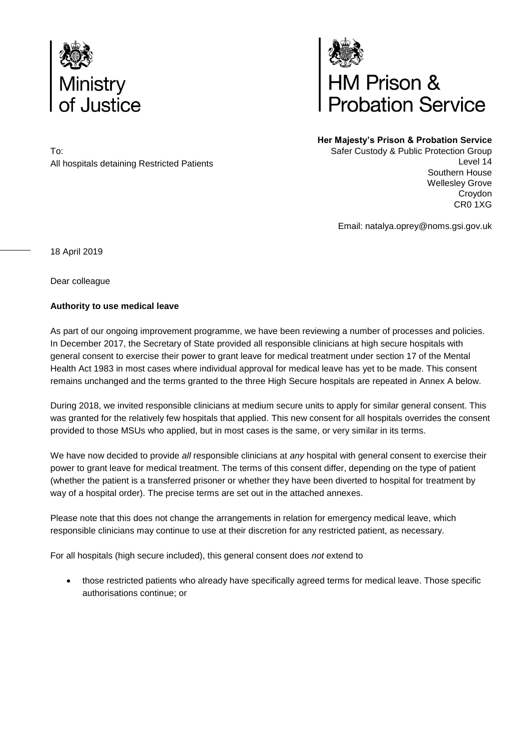



**Her Majesty's Prison & Probation Service**

To: All hospitals detaining Restricted Patients  Safer Custody & Public Protection Group Level 14 Southern House Wellesley Grove Croydon CR0 1XG

Email: natalya.oprey@noms.gsi.gov.uk

18 April 2019

Dear colleague

# **Authority to use medical leave**

As part of our ongoing improvement programme, we have been reviewing a number of processes and policies. In December 2017, the Secretary of State provided all responsible clinicians at high secure hospitals with general consent to exercise their power to grant leave for medical treatment under section 17 of the Mental Health Act 1983 in most cases where individual approval for medical leave has yet to be made. This consent remains unchanged and the terms granted to the three High Secure hospitals are repeated in Annex A below.

During 2018, we invited responsible clinicians at medium secure units to apply for similar general consent. This was granted for the relatively few hospitals that applied. This new consent for all hospitals overrides the consent provided to those MSUs who applied, but in most cases is the same, or very similar in its terms.

We have now decided to provide *all* responsible clinicians at *any* hospital with general consent to exercise their power to grant leave for medical treatment. The terms of this consent differ, depending on the type of patient (whether the patient is a transferred prisoner or whether they have been diverted to hospital for treatment by way of a hospital order). The precise terms are set out in the attached annexes.

Please note that this does not change the arrangements in relation for emergency medical leave, which responsible clinicians may continue to use at their discretion for any restricted patient, as necessary.

For all hospitals (high secure included), this general consent does *not* extend to

 those restricted patients who already have specifically agreed terms for medical leave. Those specific authorisations continue; or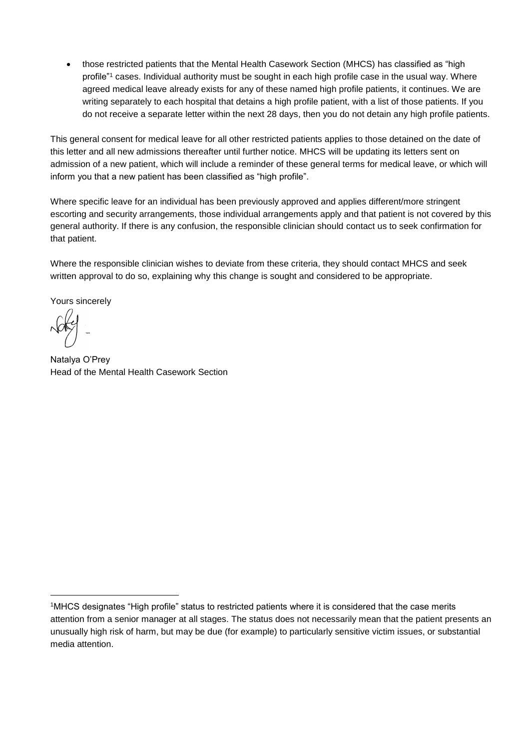those restricted patients that the Mental Health Casework Section (MHCS) has classified as "high profile"<sup>1</sup> cases. Individual authority must be sought in each high profile case in the usual way. Where agreed medical leave already exists for any of these named high profile patients, it continues. We are writing separately to each hospital that detains a high profile patient, with a list of those patients. If you do not receive a separate letter within the next 28 days, then you do not detain any high profile patients.

This general consent for medical leave for all other restricted patients applies to those detained on the date of this letter and all new admissions thereafter until further notice. MHCS will be updating its letters sent on admission of a new patient, which will include a reminder of these general terms for medical leave, or which will inform you that a new patient has been classified as "high profile".

Where specific leave for an individual has been previously approved and applies different/more stringent escorting and security arrangements, those individual arrangements apply and that patient is not covered by this general authority. If there is any confusion, the responsible clinician should contact us to seek confirmation for that patient.

Where the responsible clinician wishes to deviate from these criteria, they should contact MHCS and seek written approval to do so, explaining why this change is sought and considered to be appropriate.

Yours sincerely

1

Natalya O'Prey Head of the Mental Health Casework Section

<sup>1</sup>MHCS designates "High profile" status to restricted patients where it is considered that the case merits attention from a senior manager at all stages. The status does not necessarily mean that the patient presents an unusually high risk of harm, but may be due (for example) to particularly sensitive victim issues, or substantial media attention.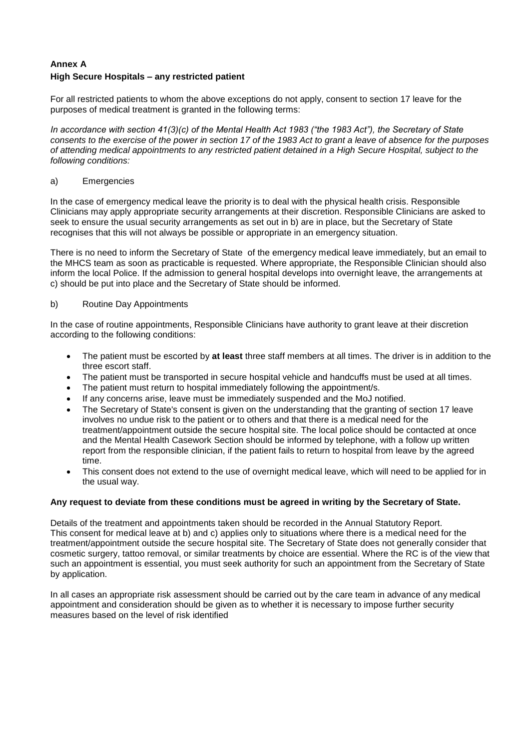# **Annex A High Secure Hospitals – any restricted patient**

For all restricted patients to whom the above exceptions do not apply, consent to section 17 leave for the purposes of medical treatment is granted in the following terms:

*In accordance with section 41(3)(c) of the Mental Health Act 1983 ("the 1983 Act"), the Secretary of State consents to the exercise of the power in section 17 of the 1983 Act to grant a leave of absence for the purposes of attending medical appointments to any restricted patient detained in a High Secure Hospital, subject to the following conditions:*

### a) Emergencies

In the case of emergency medical leave the priority is to deal with the physical health crisis. Responsible Clinicians may apply appropriate security arrangements at their discretion. Responsible Clinicians are asked to seek to ensure the usual security arrangements as set out in b) are in place, but the Secretary of State recognises that this will not always be possible or appropriate in an emergency situation.

There is no need to inform the Secretary of State of the emergency medical leave immediately, but an email to the MHCS team as soon as practicable is requested. Where appropriate, the Responsible Clinician should also inform the local Police. If the admission to general hospital develops into overnight leave, the arrangements at c) should be put into place and the Secretary of State should be informed.

## b) Routine Day Appointments

In the case of routine appointments, Responsible Clinicians have authority to grant leave at their discretion according to the following conditions:

- The patient must be escorted by **at least** three staff members at all times. The driver is in addition to the three escort staff.
- The patient must be transported in secure hospital vehicle and handcuffs must be used at all times.
- The patient must return to hospital immediately following the appointment/s.
- If any concerns arise, leave must be immediately suspended and the MoJ notified.
- The Secretary of State's consent is given on the understanding that the granting of section 17 leave involves no undue risk to the patient or to others and that there is a medical need for the treatment/appointment outside the secure hospital site. The local police should be contacted at once and the Mental Health Casework Section should be informed by telephone, with a follow up written report from the responsible clinician, if the patient fails to return to hospital from leave by the agreed time.
- This consent does not extend to the use of overnight medical leave, which will need to be applied for in the usual way.

## **Any request to deviate from these conditions must be agreed in writing by the Secretary of State.**

Details of the treatment and appointments taken should be recorded in the Annual Statutory Report. This consent for medical leave at b) and c) applies only to situations where there is a medical need for the treatment/appointment outside the secure hospital site. The Secretary of State does not generally consider that cosmetic surgery, tattoo removal, or similar treatments by choice are essential. Where the RC is of the view that such an appointment is essential, you must seek authority for such an appointment from the Secretary of State by application.

In all cases an appropriate risk assessment should be carried out by the care team in advance of any medical appointment and consideration should be given as to whether it is necessary to impose further security measures based on the level of risk identified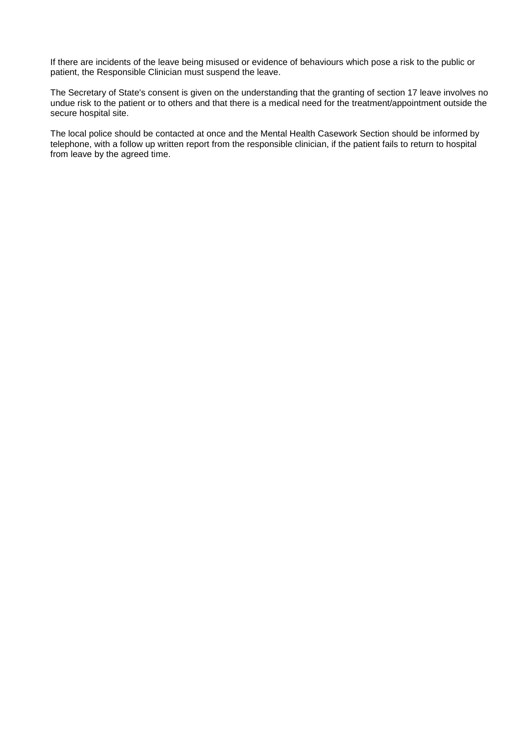If there are incidents of the leave being misused or evidence of behaviours which pose a risk to the public or patient, the Responsible Clinician must suspend the leave.

The Secretary of State's consent is given on the understanding that the granting of section 17 leave involves no undue risk to the patient or to others and that there is a medical need for the treatment/appointment outside the secure hospital site.

The local police should be contacted at once and the Mental Health Casework Section should be informed by telephone, with a follow up written report from the responsible clinician, if the patient fails to return to hospital from leave by the agreed time.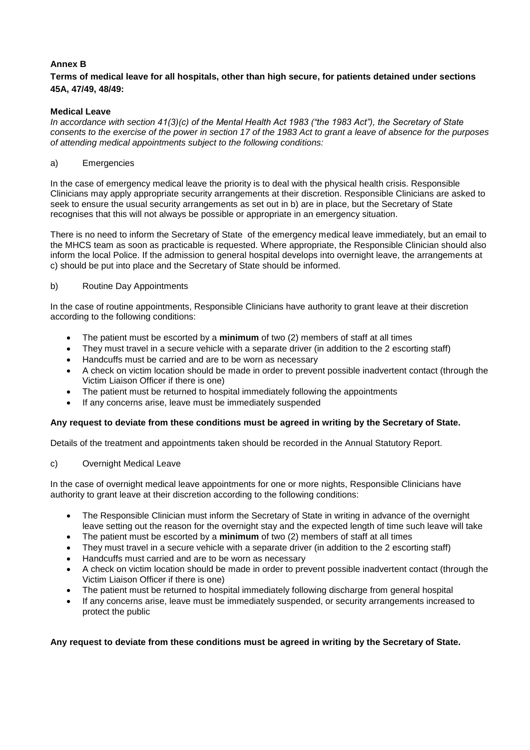## **Annex B**

## **Terms of medical leave for all hospitals, other than high secure, for patients detained under sections 45A, 47/49, 48/49:**

## **Medical Leave**

*In accordance with section 41(3)(c) of the Mental Health Act 1983 ("the 1983 Act"), the Secretary of State consents to the exercise of the power in section 17 of the 1983 Act to grant a leave of absence for the purposes of attending medical appointments subject to the following conditions:* 

#### a) Emergencies

In the case of emergency medical leave the priority is to deal with the physical health crisis. Responsible Clinicians may apply appropriate security arrangements at their discretion. Responsible Clinicians are asked to seek to ensure the usual security arrangements as set out in b) are in place, but the Secretary of State recognises that this will not always be possible or appropriate in an emergency situation.

There is no need to inform the Secretary of State of the emergency medical leave immediately, but an email to the MHCS team as soon as practicable is requested. Where appropriate, the Responsible Clinician should also inform the local Police. If the admission to general hospital develops into overnight leave, the arrangements at c) should be put into place and the Secretary of State should be informed.

#### b) Routine Day Appointments

In the case of routine appointments, Responsible Clinicians have authority to grant leave at their discretion according to the following conditions:

- The patient must be escorted by a **minimum** of two (2) members of staff at all times
- They must travel in a secure vehicle with a separate driver (in addition to the 2 escorting staff)
- Handcuffs must be carried and are to be worn as necessary
- A check on victim location should be made in order to prevent possible inadvertent contact (through the Victim Liaison Officer if there is one)
- The patient must be returned to hospital immediately following the appointments
- If any concerns arise, leave must be immediately suspended

#### **Any request to deviate from these conditions must be agreed in writing by the Secretary of State.**

Details of the treatment and appointments taken should be recorded in the Annual Statutory Report.

## c) Overnight Medical Leave

In the case of overnight medical leave appointments for one or more nights, Responsible Clinicians have authority to grant leave at their discretion according to the following conditions:

- The Responsible Clinician must inform the Secretary of State in writing in advance of the overnight leave setting out the reason for the overnight stay and the expected length of time such leave will take
- The patient must be escorted by a **minimum** of two (2) members of staff at all times
- They must travel in a secure vehicle with a separate driver (in addition to the 2 escorting staff)
- Handcuffs must carried and are to be worn as necessary
- A check on victim location should be made in order to prevent possible inadvertent contact (through the Victim Liaison Officer if there is one)
- The patient must be returned to hospital immediately following discharge from general hospital
- If any concerns arise, leave must be immediately suspended, or security arrangements increased to protect the public

## **Any request to deviate from these conditions must be agreed in writing by the Secretary of State.**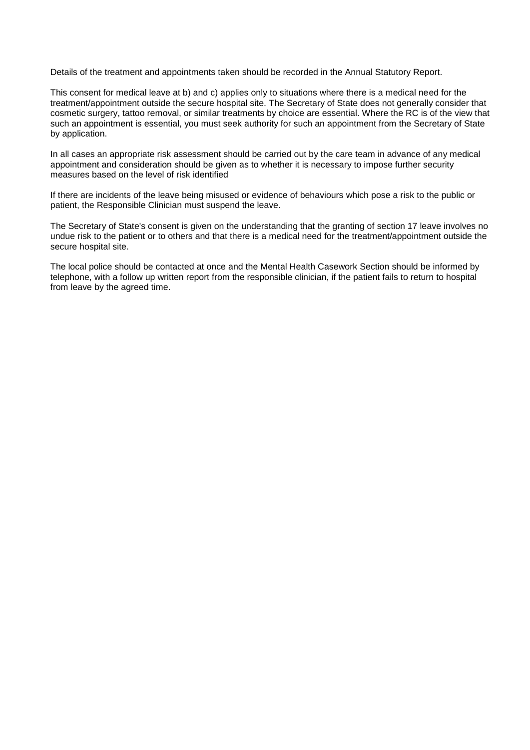Details of the treatment and appointments taken should be recorded in the Annual Statutory Report.

This consent for medical leave at b) and c) applies only to situations where there is a medical need for the treatment/appointment outside the secure hospital site. The Secretary of State does not generally consider that cosmetic surgery, tattoo removal, or similar treatments by choice are essential. Where the RC is of the view that such an appointment is essential, you must seek authority for such an appointment from the Secretary of State by application.

In all cases an appropriate risk assessment should be carried out by the care team in advance of any medical appointment and consideration should be given as to whether it is necessary to impose further security measures based on the level of risk identified

If there are incidents of the leave being misused or evidence of behaviours which pose a risk to the public or patient, the Responsible Clinician must suspend the leave.

The Secretary of State's consent is given on the understanding that the granting of section 17 leave involves no undue risk to the patient or to others and that there is a medical need for the treatment/appointment outside the secure hospital site.

The local police should be contacted at once and the Mental Health Casework Section should be informed by telephone, with a follow up written report from the responsible clinician, if the patient fails to return to hospital from leave by the agreed time.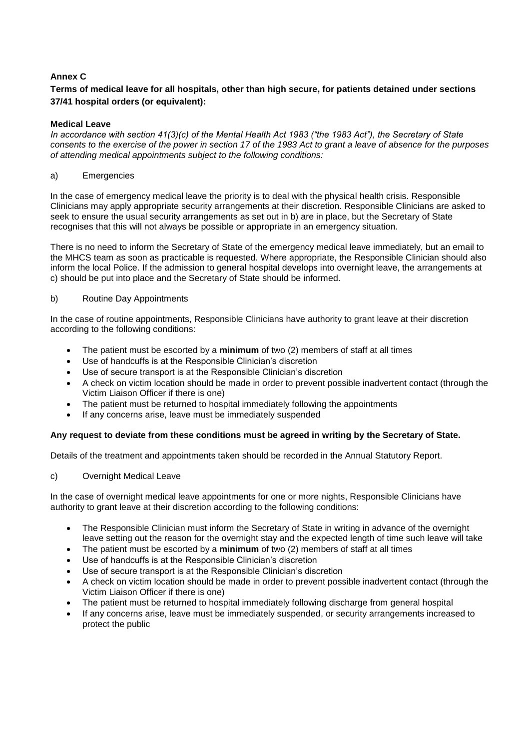## **Annex C**

## **Terms of medical leave for all hospitals, other than high secure, for patients detained under sections 37/41 hospital orders (or equivalent):**

#### **Medical Leave**

*In accordance with section 41(3)(c) of the Mental Health Act 1983 ("the 1983 Act"), the Secretary of State consents to the exercise of the power in section 17 of the 1983 Act to grant a leave of absence for the purposes of attending medical appointments subject to the following conditions:* 

#### a) Emergencies

In the case of emergency medical leave the priority is to deal with the physical health crisis. Responsible Clinicians may apply appropriate security arrangements at their discretion. Responsible Clinicians are asked to seek to ensure the usual security arrangements as set out in b) are in place, but the Secretary of State recognises that this will not always be possible or appropriate in an emergency situation.

There is no need to inform the Secretary of State of the emergency medical leave immediately, but an email to the MHCS team as soon as practicable is requested. Where appropriate, the Responsible Clinician should also inform the local Police. If the admission to general hospital develops into overnight leave, the arrangements at c) should be put into place and the Secretary of State should be informed.

#### b) Routine Day Appointments

In the case of routine appointments, Responsible Clinicians have authority to grant leave at their discretion according to the following conditions:

- The patient must be escorted by a **minimum** of two (2) members of staff at all times
- Use of handcuffs is at the Responsible Clinician's discretion
- Use of secure transport is at the Responsible Clinician's discretion
- A check on victim location should be made in order to prevent possible inadvertent contact (through the Victim Liaison Officer if there is one)
- The patient must be returned to hospital immediately following the appointments
- If any concerns arise, leave must be immediately suspended

## **Any request to deviate from these conditions must be agreed in writing by the Secretary of State.**

Details of the treatment and appointments taken should be recorded in the Annual Statutory Report.

c) Overnight Medical Leave

In the case of overnight medical leave appointments for one or more nights, Responsible Clinicians have authority to grant leave at their discretion according to the following conditions:

- The Responsible Clinician must inform the Secretary of State in writing in advance of the overnight leave setting out the reason for the overnight stay and the expected length of time such leave will take
- The patient must be escorted by a **minimum** of two (2) members of staff at all times
- Use of handcuffs is at the Responsible Clinician's discretion
- Use of secure transport is at the Responsible Clinician's discretion
- A check on victim location should be made in order to prevent possible inadvertent contact (through the Victim Liaison Officer if there is one)
- The patient must be returned to hospital immediately following discharge from general hospital
- If any concerns arise, leave must be immediately suspended, or security arrangements increased to protect the public